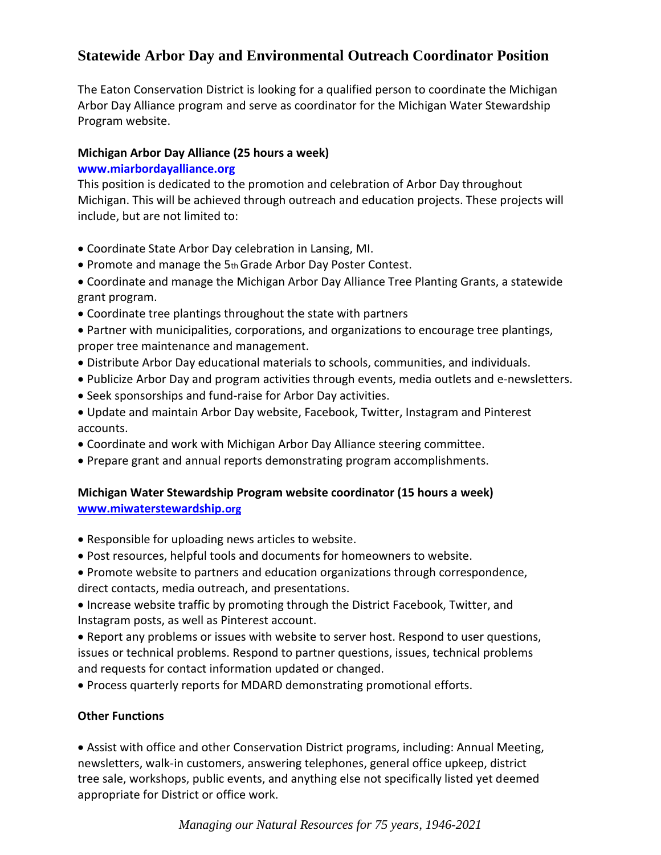# **Statewide Arbor Day and Environmental Outreach Coordinator Position**

The Eaton Conservation District is looking for a qualified person to coordinate the Michigan Arbor Day Alliance program and serve as coordinator for the Michigan Water Stewardship Program website.

## **Michigan Arbor Day Alliance (25 hours a week) www.miarbordayalliance.org**

This position is dedicated to the promotion and celebration of Arbor Day throughout Michigan. This will be achieved through outreach and education projects. These projects will include, but are not limited to:

- Coordinate State Arbor Day celebration in Lansing, MI.
- Promote and manage the 5th Grade Arbor Day Poster Contest.
- Coordinate and manage the Michigan Arbor Day Alliance Tree Planting Grants, a statewide grant program.
- Coordinate tree plantings throughout the state with partners
- Partner with municipalities, corporations, and organizations to encourage tree plantings, proper tree maintenance and management.
- Distribute Arbor Day educational materials to schools, communities, and individuals.
- Publicize Arbor Day and program activities through events, media outlets and e-newsletters.
- Seek sponsorships and fund-raise for Arbor Day activities.
- Update and maintain Arbor Day website, Facebook, Twitter, Instagram and Pinterest accounts.
- Coordinate and work with Michigan Arbor Day Alliance steering committee.
- Prepare grant and annual reports demonstrating program accomplishments.

### **Michigan Water Stewardship Program website coordinator (15 hours a week) [www.miwaterstewardship.](http://www.miwaterstewardship.org/)[org](http://www.miwaterstewardship.org/)**

- Responsible for uploading news articles to website.
- Post resources, helpful tools and documents for homeowners to website.
- Promote website to partners and education organizations through correspondence, direct contacts, media outreach, and presentations.

• Increase website traffic by promoting through the District Facebook, Twitter, and Instagram posts, as well as Pinterest account.

• Report any problems or issues with website to server host. Respond to user questions, issues or technical problems. Respond to partner questions, issues, technical problems and requests for contact information updated or changed.

• Process quarterly reports for MDARD demonstrating promotional efforts.

### **Other Functions**

• Assist with office and other Conservation District programs, including: Annual Meeting, newsletters, walk-in customers, answering telephones, general office upkeep, district tree sale, workshops, public events, and anything else not specifically listed yet deemed appropriate for District or office work.

*Managing our Natural Resources for 75 years, 1946-2021*